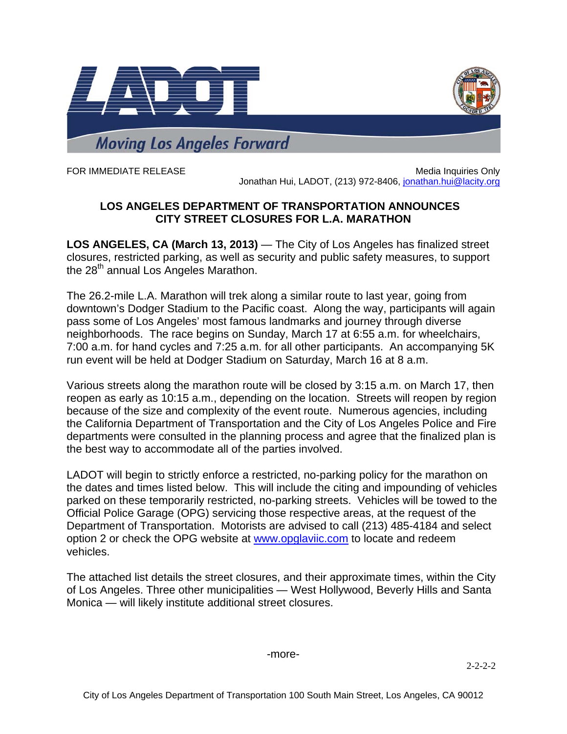

FOR IMMEDIATE RELEASE MEDICINE IN A SERVICE ONLY A SERVICE ONLY A SERVICE ONLY A SERVICE ONLY A SERVICE ONLY A SERVICE ONLY A SERVICE ONLY A SERVICE ONLY A SERVICE ONLY A SERVICE ONLY A SERVICE ONLY A SERVICE ONLY A SERVIC Jonathan Hui, LADOT, (213) 972-8406, jonathan.hui@lacity.org

## **LOS ANGELES DEPARTMENT OF TRANSPORTATION ANNOUNCES CITY STREET CLOSURES FOR L.A. MARATHON**

**LOS ANGELES, CA (March 13, 2013)** — The City of Los Angeles has finalized street closures, restricted parking, as well as security and public safety measures, to support the  $28<sup>th</sup>$  annual Los Angeles Marathon.

The 26.2-mile L.A. Marathon will trek along a similar route to last year, going from downtown's Dodger Stadium to the Pacific coast. Along the way, participants will again pass some of Los Angeles' most famous landmarks and journey through diverse neighborhoods. The race begins on Sunday, March 17 at 6:55 a.m. for wheelchairs, 7:00 a.m. for hand cycles and 7:25 a.m. for all other participants. An accompanying 5K run event will be held at Dodger Stadium on Saturday, March 16 at 8 a.m.

Various streets along the marathon route will be closed by 3:15 a.m. on March 17, then reopen as early as 10:15 a.m., depending on the location. Streets will reopen by region because of the size and complexity of the event route. Numerous agencies, including the California Department of Transportation and the City of Los Angeles Police and Fire departments were consulted in the planning process and agree that the finalized plan is the best way to accommodate all of the parties involved.

LADOT will begin to strictly enforce a restricted, no-parking policy for the marathon on the dates and times listed below. This will include the citing and impounding of vehicles parked on these temporarily restricted, no-parking streets. Vehicles will be towed to the Official Police Garage (OPG) servicing those respective areas, at the request of the Department of Transportation. Motorists are advised to call (213) 485-4184 and select option 2 or check the OPG website at www.opglaviic.com to locate and redeem vehicles.

The attached list details the street closures, and their approximate times, within the City of Los Angeles. Three other municipalities — West Hollywood, Beverly Hills and Santa Monica — will likely institute additional street closures.

-more-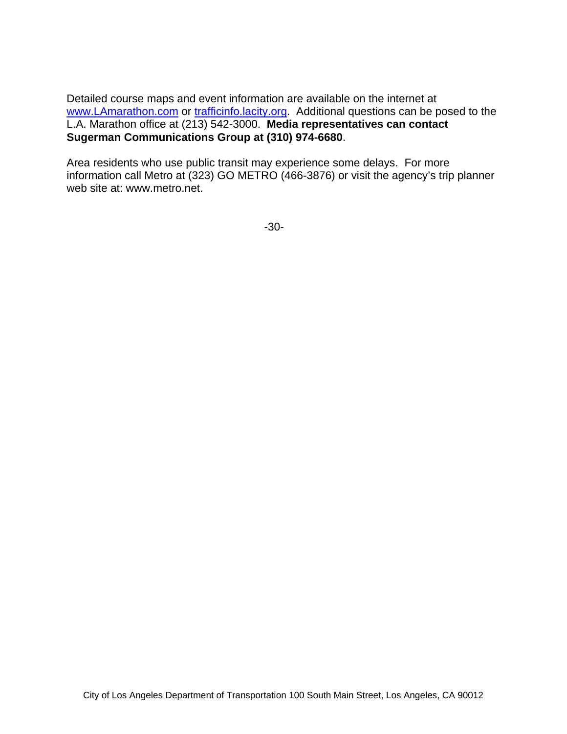Detailed course maps and event information are available on the internet at www.LAmarathon.com or trafficinfo.lacity.org. Additional questions can be posed to the L.A. Marathon office at (213) 542-3000. **Media representatives can contact Sugerman Communications Group at (310) 974-6680**.

Area residents who use public transit may experience some delays. For more information call Metro at (323) GO METRO (466-3876) or visit the agency's trip planner web site at: www.metro.net.

-30-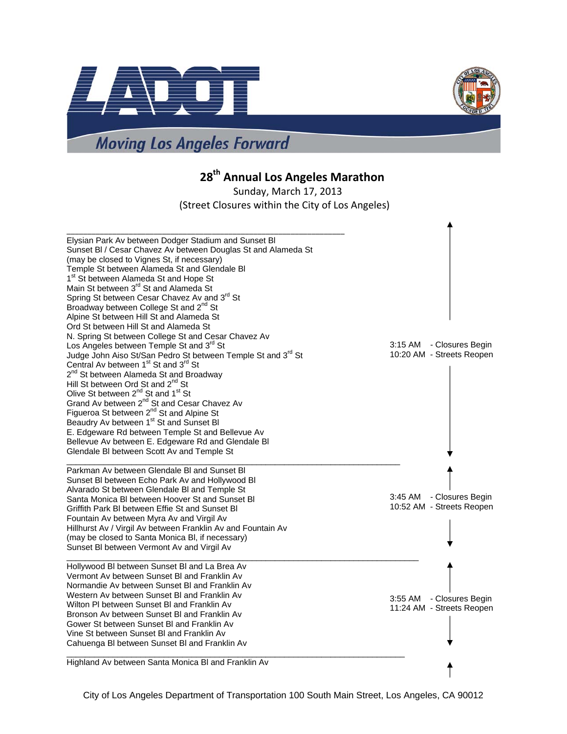



**28th Annual Los Angeles Marathon**

Sunday, March 17, 2013 (Street Closures within the City of Los Angeles)